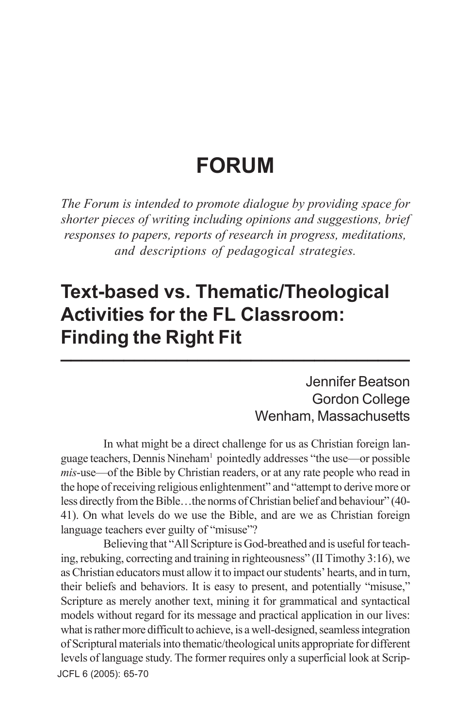# **FORUM**

*The Forum is intended to promote dialogue by providing space for shorter pieces of writing including opinions and suggestions, brief responses to papers, reports of research in progress, meditations, and descriptions of pedagogical strategies.*

## **Text-based vs. Thematic/Theological Activities for the FL Classroom: Finding the Right Fit \_\_\_\_\_\_\_\_\_\_\_\_\_\_\_\_\_\_\_\_\_\_\_\_\_\_\_\_\_\_\_\_\_**

Jennifer Beatson Gordon College Wenham, Massachusetts

In what might be a direct challenge for us as Christian foreign language teachers, Dennis Nineham1 pointedly addresses "the use—or possible *mis*-use—of the Bible by Christian readers, or at any rate people who read in the hope of receiving religious enlightenment" and "attempt to derive more or less directly from the Bible…the norms of Christian belief and behaviour" (40- 41). On what levels do we use the Bible, and are we as Christian foreign language teachers ever guilty of "misuse"?

JCFL 6 (2005): 65-70 Believing that "All Scripture is God-breathed and is useful for teaching, rebuking, correcting and training in righteousness" (II Timothy 3:16), we as Christian educators must allow it to impact our students' hearts, and in turn, their beliefs and behaviors. It is easy to present, and potentially "misuse," Scripture as merely another text, mining it for grammatical and syntactical models without regard for its message and practical application in our lives: what is rather more difficult to achieve, is a well-designed, seamless integration of Scriptural materials into thematic/theological units appropriate for different levels of language study. The former requires only a superficial look at Scrip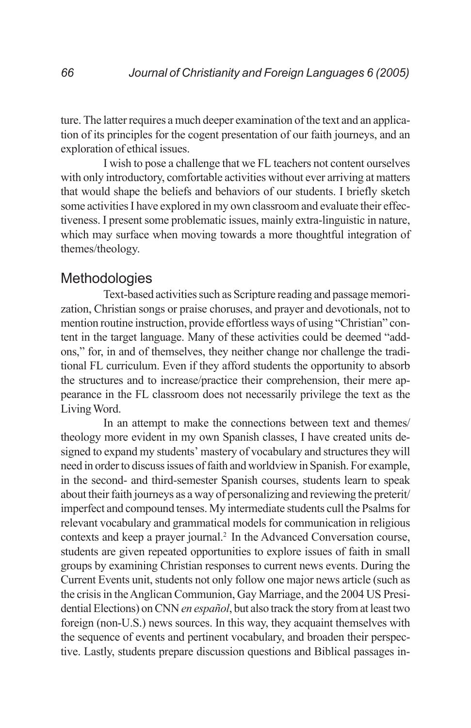ture. The latter requires a much deeper examination of the text and an application of its principles for the cogent presentation of our faith journeys, and an exploration of ethical issues.

I wish to pose a challenge that we FL teachers not content ourselves with only introductory, comfortable activities without ever arriving at matters that would shape the beliefs and behaviors of our students. I briefly sketch some activities I have explored in my own classroom and evaluate their effectiveness. I present some problematic issues, mainly extra-linguistic in nature, which may surface when moving towards a more thoughtful integration of themes/theology.

### **Methodologies**

Text-based activities such as Scripture reading and passage memorization, Christian songs or praise choruses, and prayer and devotionals, not to mention routine instruction, provide effortless ways of using "Christian" content in the target language. Many of these activities could be deemed "addons," for, in and of themselves, they neither change nor challenge the traditional FL curriculum. Even if they afford students the opportunity to absorb the structures and to increase/practice their comprehension, their mere appearance in the FL classroom does not necessarily privilege the text as the Living Word.

In an attempt to make the connections between text and themes/ theology more evident in my own Spanish classes, I have created units designed to expand my students' mastery of vocabulary and structures they will need in order to discuss issues of faith and worldview in Spanish. For example, in the second- and third-semester Spanish courses, students learn to speak about their faith journeys as a way of personalizing and reviewing the preterit/ imperfect and compound tenses. My intermediate students cull the Psalms for relevant vocabulary and grammatical models for communication in religious contexts and keep a prayer journal.2 In the Advanced Conversation course, students are given repeated opportunities to explore issues of faith in small groups by examining Christian responses to current news events. During the Current Events unit, students not only follow one major news article (such as the crisis in the Anglican Communion, Gay Marriage, and the 2004 US Presidential Elections) on CNN *en español*, but also track the story from at least two foreign (non-U.S.) news sources. In this way, they acquaint themselves with the sequence of events and pertinent vocabulary, and broaden their perspective. Lastly, students prepare discussion questions and Biblical passages in-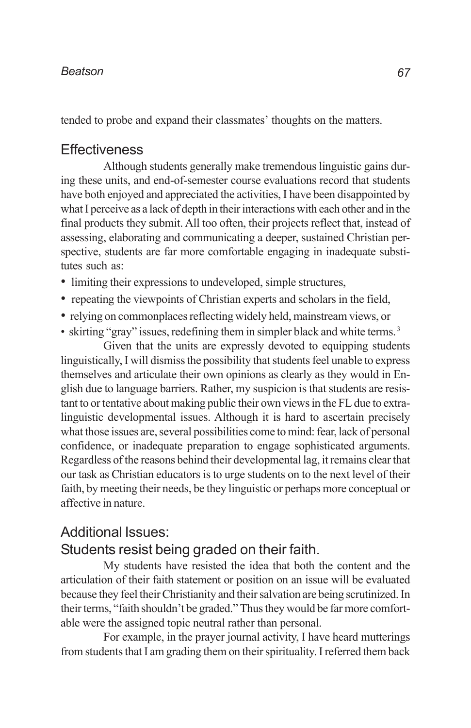#### *Beatson*

tended to probe and expand their classmates' thoughts on the matters.

#### **Effectiveness**

Although students generally make tremendous linguistic gains during these units, and end-of-semester course evaluations record that students have both enjoyed and appreciated the activities, I have been disappointed by what I perceive as a lack of depth in their interactions with each other and in the final products they submit. All too often, their projects reflect that, instead of assessing, elaborating and communicating a deeper, sustained Christian perspective, students are far more comfortable engaging in inadequate substitutes such as:

- limiting their expressions to undeveloped, simple structures,
- repeating the viewpoints of Christian experts and scholars in the field,
- relying on commonplaces reflecting widely held, mainstream views, or
- skirting "gray" issues, redefining them in simpler black and white terms.<sup>3</sup>

Given that the units are expressly devoted to equipping students linguistically, I will dismiss the possibility that students feel unable to express themselves and articulate their own opinions as clearly as they would in English due to language barriers. Rather, my suspicion is that students are resistant to or tentative about making public their own views in the FL due to extralinguistic developmental issues. Although it is hard to ascertain precisely what those issues are, several possibilities come to mind: fear, lack of personal confidence, or inadequate preparation to engage sophisticated arguments. Regardless of the reasons behind their developmental lag, it remains clear that our task as Christian educators is to urge students on to the next level of their faith, by meeting their needs, be they linguistic or perhaps more conceptual or affective in nature.

### Additional Issues: Students resist being graded on their faith.

My students have resisted the idea that both the content and the articulation of their faith statement or position on an issue will be evaluated because they feel their Christianity and their salvation are being scrutinized. In their terms, "faith shouldn't be graded." Thus they would be far more comfortable were the assigned topic neutral rather than personal.

For example, in the prayer journal activity, I have heard mutterings from students that I am grading them on their spirituality. I referred them back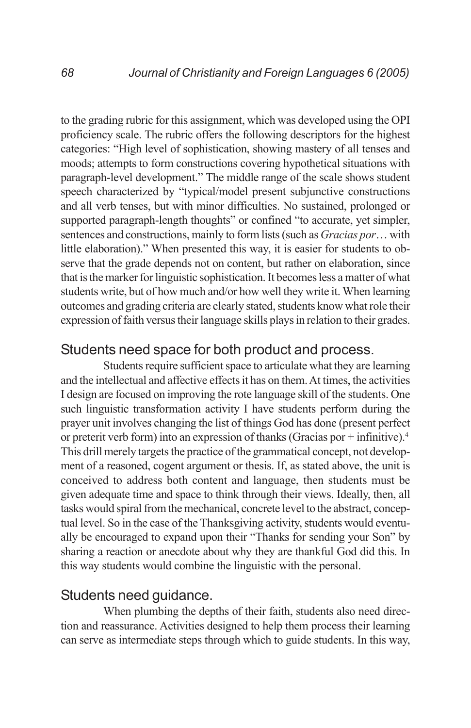to the grading rubric for this assignment, which was developed using the OPI proficiency scale. The rubric offers the following descriptors for the highest categories: "High level of sophistication, showing mastery of all tenses and moods; attempts to form constructions covering hypothetical situations with paragraph-level development." The middle range of the scale shows student speech characterized by "typical/model present subjunctive constructions and all verb tenses, but with minor difficulties. No sustained, prolonged or supported paragraph-length thoughts" or confined "to accurate, yet simpler, sentences and constructions, mainly to form lists (such as *Gracias por*… with little elaboration)." When presented this way, it is easier for students to observe that the grade depends not on content, but rather on elaboration, since that is the marker for linguistic sophistication. It becomes less a matter of what students write, but of how much and/or how well they write it. When learning outcomes and grading criteria are clearly stated, students know what role their expression of faith versus their language skills plays in relation to their grades.

### Students need space for both product and process.

Students require sufficient space to articulate what they are learning and the intellectual and affective effects it has on them. At times, the activities I design are focused on improving the rote language skill of the students. One such linguistic transformation activity I have students perform during the prayer unit involves changing the list of things God has done (present perfect or preterit verb form) into an expression of thanks (Gracias por + infinitive).4 This drill merely targets the practice of the grammatical concept, not development of a reasoned, cogent argument or thesis. If, as stated above, the unit is conceived to address both content and language, then students must be given adequate time and space to think through their views. Ideally, then, all tasks would spiral from the mechanical, concrete level to the abstract, conceptual level. So in the case of the Thanksgiving activity, students would eventually be encouraged to expand upon their "Thanks for sending your Son" by sharing a reaction or anecdote about why they are thankful God did this. In this way students would combine the linguistic with the personal.

#### Students need guidance.

When plumbing the depths of their faith, students also need direction and reassurance. Activities designed to help them process their learning can serve as intermediate steps through which to guide students. In this way,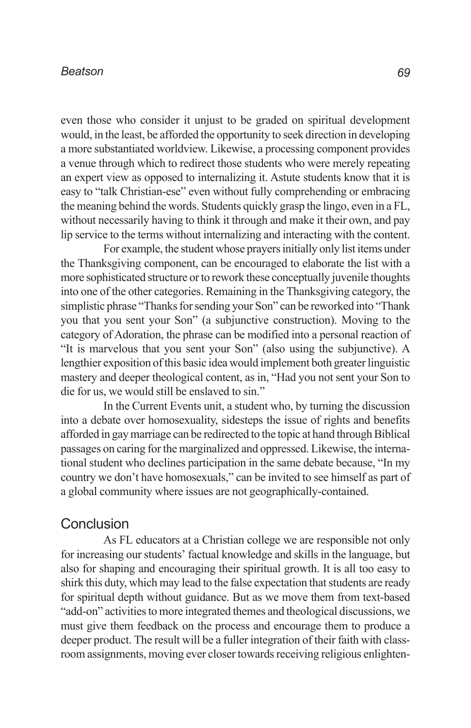#### *Beatson*

even those who consider it unjust to be graded on spiritual development would, in the least, be afforded the opportunity to seek direction in developing a more substantiated worldview. Likewise, a processing component provides a venue through which to redirect those students who were merely repeating an expert view as opposed to internalizing it. Astute students know that it is easy to "talk Christian-ese" even without fully comprehending or embracing the meaning behind the words. Students quickly grasp the lingo, even in a FL, without necessarily having to think it through and make it their own, and pay lip service to the terms without internalizing and interacting with the content.

For example, the student whose prayers initially only list items under the Thanksgiving component, can be encouraged to elaborate the list with a more sophisticated structure or to rework these conceptually juvenile thoughts into one of the other categories. Remaining in the Thanksgiving category, the simplistic phrase "Thanks for sending your Son" can be reworked into "Thank you that you sent your Son" (a subjunctive construction). Moving to the category of Adoration, the phrase can be modified into a personal reaction of "It is marvelous that you sent your Son" (also using the subjunctive). A lengthier exposition of this basic idea would implement both greater linguistic mastery and deeper theological content, as in, "Had you not sent your Son to die for us, we would still be enslaved to sin."

In the Current Events unit, a student who, by turning the discussion into a debate over homosexuality, sidesteps the issue of rights and benefits afforded in gay marriage can be redirected to the topic at hand through Biblical passages on caring for the marginalized and oppressed. Likewise, the international student who declines participation in the same debate because, "In my country we don't have homosexuals," can be invited to see himself as part of a global community where issues are not geographically-contained.

#### **Conclusion**

As FL educators at a Christian college we are responsible not only for increasing our students' factual knowledge and skills in the language, but also for shaping and encouraging their spiritual growth. It is all too easy to shirk this duty, which may lead to the false expectation that students are ready for spiritual depth without guidance. But as we move them from text-based "add-on" activities to more integrated themes and theological discussions, we must give them feedback on the process and encourage them to produce a deeper product. The result will be a fuller integration of their faith with classroom assignments, moving ever closer towards receiving religious enlighten